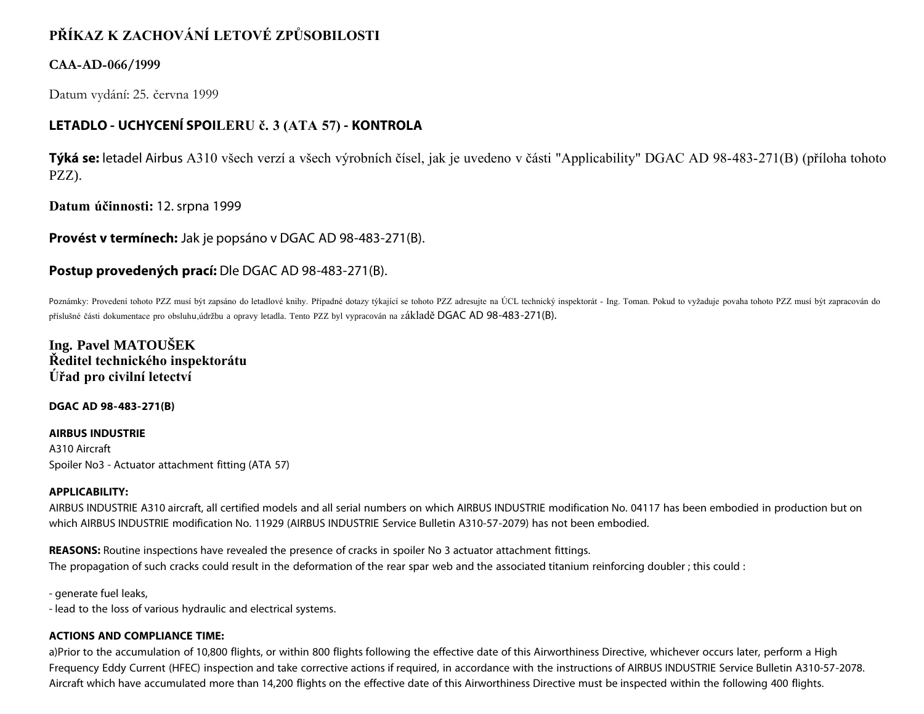# **PŘÍKAZ K ZACHOVÁNÍ LETOVÉ ZPŮSOBILOSTI**

### **CAA-AD-066/1999**

Datum vydání: 25. června 1999

## **LETADLO - UCHYCENÍ SPOILERU č. 3 (ATA 57) - KONTROLA**

**Týká se:** letadel Airbus A310 všech verzí a všech výrobních čísel, jak je uvedeno v části "Applicability" DGAC AD 98-483-271(B) (příloha tohoto PZZ).

**Datum účinnosti:** 12. srpna 1999

**Provést v termínech:** Jak je popsáno v DGAC AD 98-483-271(B).

### **Postup provedených prací:** Dle DGAC AD 98-483-271(B).

Poznámky: Provedení tohoto PZZ musí být zapsáno do letadlové knihy. Případné dotazy týkající se tohoto PZZ adresujte na ÚCL technický inspektorát - Ing. Toman. Pokud to vyžaduje povaha tohoto PZZ musí být zapracován do příslušné části dokumentace pro obsluhu,údržbu a opravy letadla. Tento PZZ byl vypracován na základě DGAC AD 98-483-271(B).

**Ing. Pavel MATOUŠEK Ředitel technického inspektorátu Úřad pro civilní letectví**

**DGAC AD 98-483-271(B)**

**AIRBUS INDUSTRIE** A310 Aircraft Spoiler No3 - Actuator attachment fitting (ATA 57)

#### **APPLICABILITY:**

AIRBUS INDUSTRIE A310 aircraft, all certified models and all serial numbers on which AIRBUS INDUSTRIE modification No. 04117 has been embodied in production but on which AIRBUS INDUSTRIE modification No. 11929 (AIRBUS INDUSTRIE Service Bulletin A310-57-2079) has not been embodied.

**REASONS:** Routine inspections have revealed the presence of cracks in spoiler No 3 actuator attachment fittings. The propagation of such cracks could result in the deformation of the rear spar web and the associated titanium reinforcing doubler ; this could :

- generate fuel leaks,

- lead to the loss of various hydraulic and electrical systems.

#### **ACTIONS AND COMPLIANCE TIME:**

a)Prior to the accumulation of 10,800 flights, or within 800 flights following the effective date of this Airworthiness Directive, whichever occurs later, perform a High Frequency Eddy Current (HFEC) inspection and take corrective actions if required, in accordance with the instructions of AIRBUS INDUSTRIE Service Bulletin A310-57-2078. Aircraft which have accumulated more than 14,200 flights on the effective date of this Airworthiness Directive must be inspected within the following 400 flights.